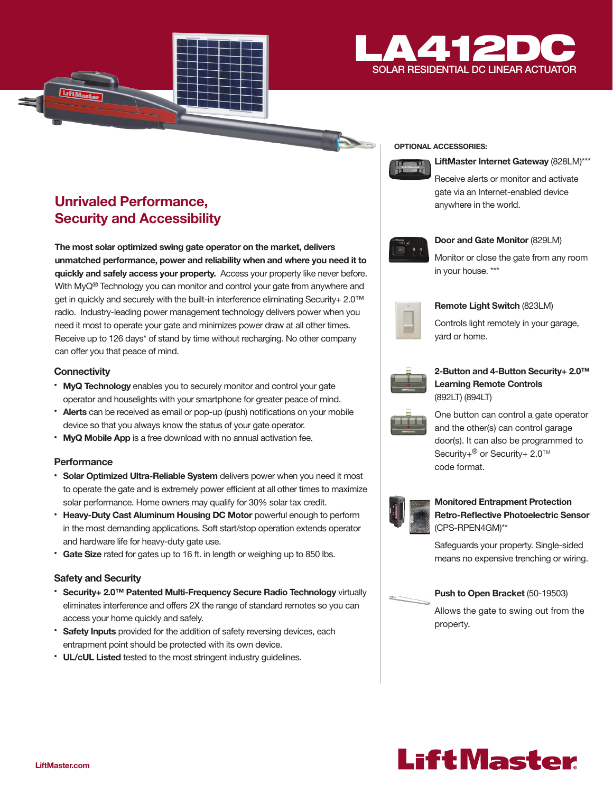

## Unrivaled Performance, Security and Accessibility

The most solar optimized swing gate operator on the market, delivers unmatched performance, power and reliability when and where you need it to quickly and safely access your property. Access your property like never before. With MyQ® Technology you can monitor and control your gate from anywhere and get in quickly and securely with the built-in interference eliminating Security+ 2.0™ radio. Industry-leading power management technology delivers power when you need it most to operate your gate and minimizes power draw at all other times. Receive up to 126 days\* of stand by time without recharging. No other company can offer you that peace of mind.

#### **Connectivity**

- MyQ Technology enables you to securely monitor and control your gate operator and houselights with your smartphone for greater peace of mind.
- Alerts can be received as email or pop-up (push) notifications on your mobile device so that you always know the status of your gate operator.
- MyQ Mobile App is a free download with no annual activation fee.

#### **Performance**

- Solar Optimized Ultra-Reliable System delivers power when you need it most to operate the gate and is extremely power efficient at all other times to maximize solar performance. Home owners may qualify for 30% solar tax credit.
- Heavy-Duty Cast Aluminum Housing DC Motor powerful enough to perform in the most demanding applications. Soft start/stop operation extends operator and hardware life for heavy-duty gate use.
- Gate Size rated for gates up to 16 ft. in length or weighing up to 850 lbs.

#### Safety and Security

- Security+ 2.0™ Patented Multi-Frequency Secure Radio Technology virtually eliminates interference and offers 2X the range of standard remotes so you can access your home quickly and safely.
- Safety Inputs provided for the addition of safety reversing devices, each entrapment point should be protected with its own device.
- UL/cUL Listed tested to the most stringent industry guidelines.

#### OPTIONAL ACCESSORIES:



LiftMaster Internet Gateway (828LM)\*\*\*

Receive alerts or monitor and activate gate via an Internet-enabled device anywhere in the world.



#### Door and Gate Monitor (829LM)

Monitor or close the gate from any room in your house. \*\*\*

| × |  |
|---|--|
|   |  |
|   |  |
|   |  |

#### Remote Light Switch (823LM)

Controls light remotely in your garage, yard or home.



#### 2-Button and 4-Button Security+ 2.0™ Learning Remote Controls (892LT) (894LT)

One button can control a gate operator and the other(s) can control garage door(s). It can also be programmed to Security+<sup>®</sup> or Security+ 2.0<sup>™</sup> code format.



#### Monitored Entrapment Protection Retro-Reflective Photoelectric Sensor (CPS-RPEN4GM)\*\*

Safeguards your property. Single-sided means no expensive trenching or wiring.

#### Push to Open Bracket (50-19503)

Allows the gate to swing out from the property.

# **LiftMaster**